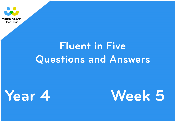





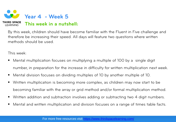

By this week, children should have become familiar with the Fluent in Five challenge and therefore be increasing their speed. All days will feature two questions where written methods should be used.

This week:

- Mental multiplication focuses on multiplying a multiple of 100 by a single digit number, in preparation for the increase in difficulty for written multiplication next week.
- Mental division focuses on dividing multiples of 10 by another multiple of 10.
- Written multiplication is becoming more complex, as children may now start to be becoming familiar with the array or grid method and/or formal multiplication method.
- Written addition and subtraction involves adding or subtracting two 4 digit numbers.
- Mental and written multiplication and division focuses on a range of times table facts.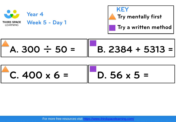





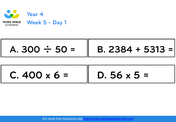

| $C.400 \times 6 =$ | $D.56 \times 5 =$ |
|--------------------|-------------------|
|--------------------|-------------------|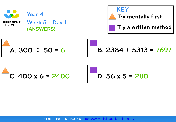

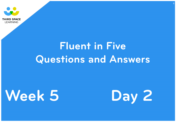





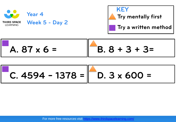





C. 
$$
4594 - 1378 = 0.3 \times 600 =
$$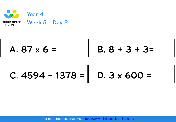

**C. 4594 − 1378 = D. 3 x 600 =**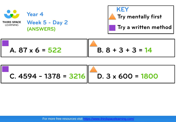

**Week 5 - Day 2 (ANSWERS)**

**Year 4** 





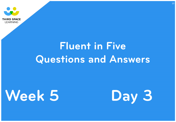





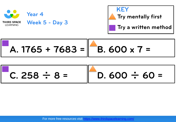

A. 1765 + 7683 = **B. 600 x 7 =** 

 $C. 258 \div 8 = \Box$  D. 600  $\div 60 =$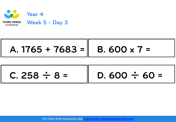

# A. 1765 + 7683 = || B. 600 x 7 =

 $C. 258 \div 8 =$   $\Box$  D. 600  $\div 60 =$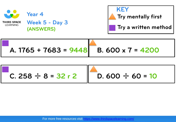

**Week 5 - Day 3 (ANSWERS)**



$$
\begin{array}{|c|c|c|c|c|c|c|c|} \hline \text{A. 1765} + 7683 &= 9448 & \text{B. 600 x 7} &= 4200 \\ \hline \end{array}
$$

**C. 258** ÷ **8 = 32 r 2 D. 600** ÷ **60 = 10**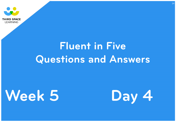





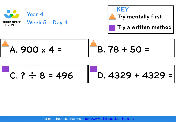





$$
C. ? \div 8 = 496 \qquad D. 4329 + 4329 =
$$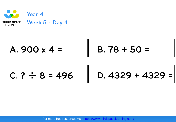

 $C. ? \div 8 = 496$   $\parallel$  D. 4329 + 4329 =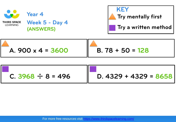

**Week 5 - Day 4 (ANSWERS)**



| A. $900 \times 4 = 3600$ | $B.78 + 50 = 128$ |
|--------------------------|-------------------|
|                          |                   |

| $C.3968 \div 8 = 496$ | D. $4329 + 4329 = 8658$ |
|-----------------------|-------------------------|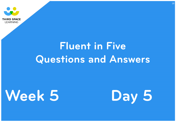





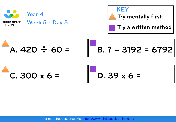



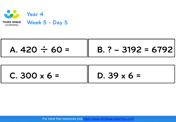![](_page_19_Picture_0.jpeg)

$$
\begin{bmatrix} 1.420 \div 60 = 1.3020 \div 60 = 1.302 \end{bmatrix}
$$

| $C. 300 \times 6 =$ | $D.39 \times 6 =$ |
|---------------------|-------------------|
|---------------------|-------------------|